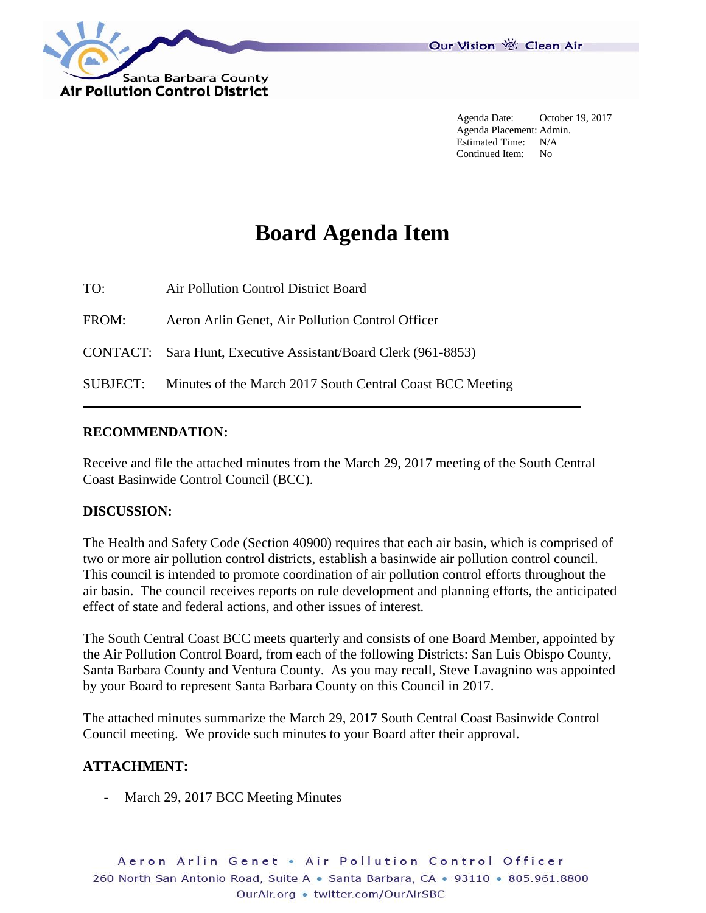

Agenda Date: October 19, 2017 Agenda Placement: Admin. Estimated Time: N/A Continued Item: No

# **Board Agenda Item**

TO: Air Pollution Control District Board

FROM: Aeron Arlin Genet, Air Pollution Control Officer

CONTACT: Sara Hunt, Executive Assistant/Board Clerk (961-8853)

SUBJECT: Minutes of the March 2017 South Central Coast BCC Meeting

#### **RECOMMENDATION:**

Receive and file the attached minutes from the March 29, 2017 meeting of the South Central Coast Basinwide Control Council (BCC).

#### **DISCUSSION:**

The Health and Safety Code (Section 40900) requires that each air basin, which is comprised of two or more air pollution control districts, establish a basinwide air pollution control council. This council is intended to promote coordination of air pollution control efforts throughout the air basin. The council receives reports on rule development and planning efforts, the anticipated effect of state and federal actions, and other issues of interest.

The South Central Coast BCC meets quarterly and consists of one Board Member, appointed by the Air Pollution Control Board, from each of the following Districts: San Luis Obispo County, Santa Barbara County and Ventura County. As you may recall, Steve Lavagnino was appointed by your Board to represent Santa Barbara County on this Council in 2017.

The attached minutes summarize the March 29, 2017 South Central Coast Basinwide Control Council meeting. We provide such minutes to your Board after their approval.

### **ATTACHMENT:**

March 29, 2017 BCC Meeting Minutes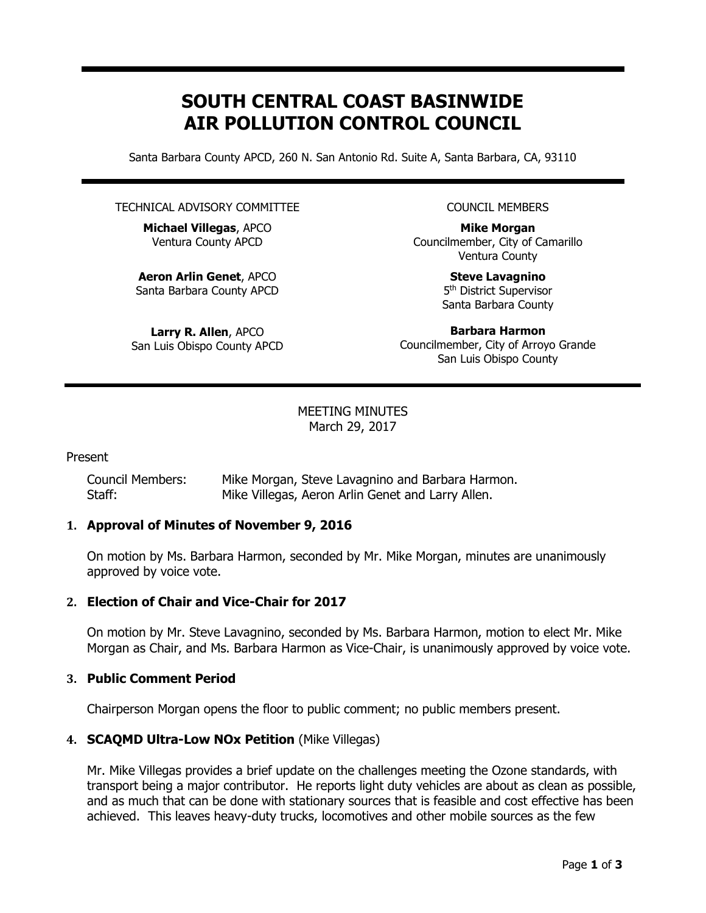## **SOUTH CENTRAL COAST BASINWIDE AIR POLLUTION CONTROL COUNCIL**

Santa Barbara County APCD, 260 N. San Antonio Rd. Suite A, Santa Barbara, CA, 93110

#### TECHNICAL ADVISORY COMMITTEE

**Michael Villegas**, APCO Ventura County APCD

**Aeron Arlin Genet**, APCO Santa Barbara County APCD

**Larry R. Allen**, APCO San Luis Obispo County APCD COUNCIL MEMBERS

**Mike Morgan** Councilmember, City of Camarillo Ventura County

> **Steve Lavagnino** 5<sup>th</sup> District Supervisor Santa Barbara County

**Barbara Harmon** Councilmember, City of Arroyo Grande San Luis Obispo County

#### MEETING MINUTES March 29, 2017

Present

Council Members: Mike Morgan, Steve Lavagnino and Barbara Harmon. Staff: Mike Villegas, Aeron Arlin Genet and Larry Allen.

#### **1. Approval of Minutes of November 9, 2016**

On motion by Ms. Barbara Harmon, seconded by Mr. Mike Morgan, minutes are unanimously approved by voice vote.

#### **2. Election of Chair and Vice-Chair for 2017**

On motion by Mr. Steve Lavagnino, seconded by Ms. Barbara Harmon, motion to elect Mr. Mike Morgan as Chair, and Ms. Barbara Harmon as Vice-Chair, is unanimously approved by voice vote.

#### **3. Public Comment Period**

Chairperson Morgan opens the floor to public comment; no public members present.

#### **4. SCAQMD Ultra-Low NOx Petition** (Mike Villegas)

Mr. Mike Villegas provides a brief update on the challenges meeting the Ozone standards, with transport being a major contributor. He reports light duty vehicles are about as clean as possible, and as much that can be done with stationary sources that is feasible and cost effective has been achieved. This leaves heavy-duty trucks, locomotives and other mobile sources as the few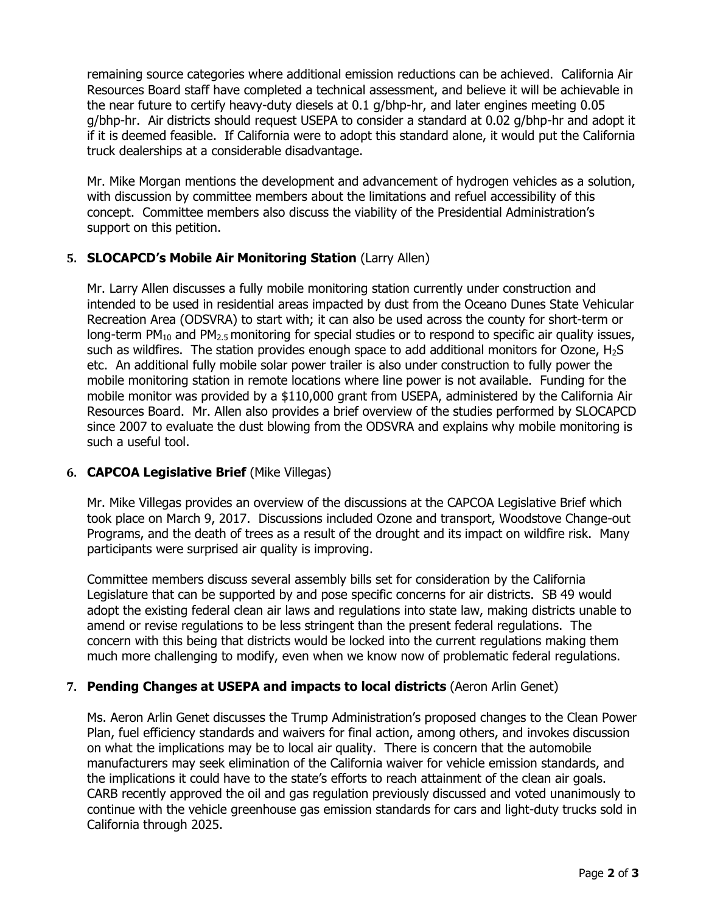remaining source categories where additional emission reductions can be achieved. California Air Resources Board staff have completed a technical assessment, and believe it will be achievable in the near future to certify heavy-duty diesels at 0.1 g/bhp-hr, and later engines meeting 0.05 g/bhp-hr. Air districts should request USEPA to consider a standard at 0.02 g/bhp-hr and adopt it if it is deemed feasible. If California were to adopt this standard alone, it would put the California truck dealerships at a considerable disadvantage.

Mr. Mike Morgan mentions the development and advancement of hydrogen vehicles as a solution, with discussion by committee members about the limitations and refuel accessibility of this concept. Committee members also discuss the viability of the Presidential Administration's support on this petition.

#### **5. SLOCAPCD's Mobile Air Monitoring Station** (Larry Allen)

Mr. Larry Allen discusses a fully mobile monitoring station currently under construction and intended to be used in residential areas impacted by dust from the Oceano Dunes State Vehicular Recreation Area (ODSVRA) to start with; it can also be used across the county for short-term or long-term PM<sub>10</sub> and PM<sub>2.5</sub> monitoring for special studies or to respond to specific air quality issues, such as wildfires. The station provides enough space to add additional monitors for Ozone,  $H_2S$ etc. An additional fully mobile solar power trailer is also under construction to fully power the mobile monitoring station in remote locations where line power is not available. Funding for the mobile monitor was provided by a \$110,000 grant from USEPA, administered by the California Air Resources Board. Mr. Allen also provides a brief overview of the studies performed by SLOCAPCD since 2007 to evaluate the dust blowing from the ODSVRA and explains why mobile monitoring is such a useful tool.

#### **6. CAPCOA Legislative Brief** (Mike Villegas)

Mr. Mike Villegas provides an overview of the discussions at the CAPCOA Legislative Brief which took place on March 9, 2017. Discussions included Ozone and transport, Woodstove Change-out Programs, and the death of trees as a result of the drought and its impact on wildfire risk. Many participants were surprised air quality is improving.

Committee members discuss several assembly bills set for consideration by the California Legislature that can be supported by and pose specific concerns for air districts. SB 49 would adopt the existing federal clean air laws and regulations into state law, making districts unable to amend or revise regulations to be less stringent than the present federal regulations. The concern with this being that districts would be locked into the current regulations making them much more challenging to modify, even when we know now of problematic federal regulations.

#### **7. Pending Changes at USEPA and impacts to local districts** (Aeron Arlin Genet)

Ms. Aeron Arlin Genet discusses the Trump Administration's proposed changes to the Clean Power Plan, fuel efficiency standards and waivers for final action, among others, and invokes discussion on what the implications may be to local air quality. There is concern that the automobile manufacturers may seek elimination of the California waiver for vehicle emission standards, and the implications it could have to the state's efforts to reach attainment of the clean air goals. CARB recently approved the oil and gas regulation previously discussed and voted unanimously to continue with the vehicle greenhouse gas emission standards for cars and light-duty trucks sold in California through 2025.